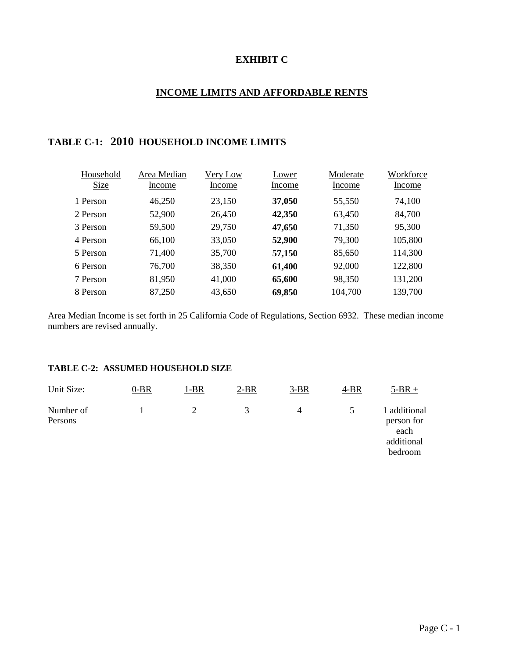## **EXHIBIT C**

## **INCOME LIMITS AND AFFORDABLE RENTS**

# **TABLE C-1: 2010 HOUSEHOLD INCOME LIMITS**

| Household   | Area Median | Very Low | Lower  | Moderate | Workforce |
|-------------|-------------|----------|--------|----------|-----------|
| <b>Size</b> | Income      | Income   | Income | Income   | Income    |
| 1 Person    | 46,250      | 23,150   | 37,050 | 55,550   | 74,100    |
| 2 Person    | 52,900      | 26,450   | 42,350 | 63,450   | 84,700    |
| 3 Person    | 59,500      | 29,750   | 47,650 | 71,350   | 95,300    |
| 4 Person    | 66,100      | 33,050   | 52,900 | 79,300   | 105,800   |
| 5 Person    | 71,400      | 35,700   | 57,150 | 85,650   | 114,300   |
| 6 Person    | 76,700      | 38,350   | 61,400 | 92,000   | 122,800   |
| 7 Person    | 81,950      | 41,000   | 65,600 | 98,350   | 131,200   |
| 8 Person    | 87,250      | 43,650   | 69,850 | 104,700  | 139,700   |

Area Median Income is set forth in 25 California Code of Regulations, Section 6932. These median income numbers are revised annually.

### **TABLE C-2: ASSUMED HOUSEHOLD SIZE**

| Unit Size:           | $0-BR$ | 1-BR | $2-BR$       | $3-BR$ | 4-BR          | $5-BR +$                                                    |
|----------------------|--------|------|--------------|--------|---------------|-------------------------------------------------------------|
| Number of<br>Persons |        |      | $\mathbf{R}$ | 4      | $\mathcal{D}$ | 1 additional<br>person for<br>each<br>additional<br>bedroom |